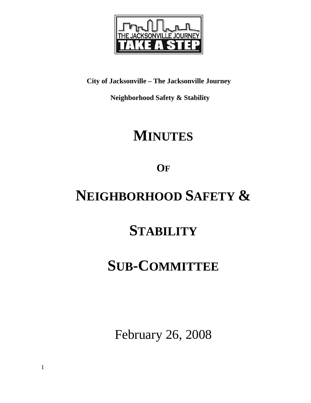

**City of Jacksonville – The Jacksonville Journey** 

 **Neighborhood Safety & Stability** 

# **MINUTES**

**OF**

# **NEIGHBORHOOD SAFETY &**

# **STABILITY**

## **SUB-COMMITTEE**

February 26, 2008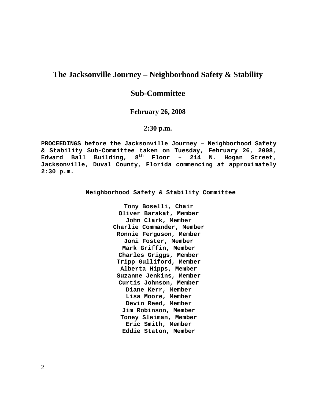## **The Jacksonville Journey – Neighborhood Safety & Stability**

## **Sub-Committee**

### **February 26, 2008**

### **2:30 p.m.**

**PROCEEDINGS before the Jacksonville Journey – Neighborhood Safety & Stability Sub-Committee taken on Tuesday, February 26, 2008, Edward Ball Building, 8th Floor – 214 N. Hogan Street, Jacksonville, Duval County, Florida commencing at approximately 2:30 p.m.** 

**Neighborhood Safety & Stability Committee** 

**Tony Boselli, Chair Oliver Barakat, Member John Clark, Member Charlie Commander, Member Ronnie Ferguson, Member Joni Foster, Member Mark Griffin, Member Charles Griggs, Member Tripp Gulliford, Member Alberta Hipps, Member Suzanne Jenkins, Member Curtis Johnson, Member Diane Kerr, Member Lisa Moore, Member Devin Reed, Member Jim Robinson, Member Toney Sleiman, Member Eric Smith, Member Eddie Staton, Member**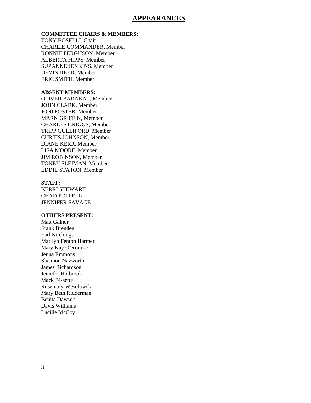### **APPEARANCES**

#### **COMMITTEE CHAIRS & MEMBERS:**

TONY BOSELLI, Chair CHARLIE COMMANDER, Member RONNIE FERGUSON, Member ALBERTA HIPPS, Member SUZANNE JENKINS, Member DEVIN REED, Member ERIC SMITH, Member

#### **ABSENT MEMBERS:**

OLIVER BARAKAT, Member JOHN CLARK, Member JONI FOSTER, Member MARK GRIFFIN, Member CHARLES GRIGGS, Member TRIPP GULLIFORD, Member CURTIS JOHNSON, Member DIANE KERR, Member LISA MOORE, Member JIM ROBINSON, Member TONEY SLEIMAN, Member EDDIE STATON, Member

#### **STAFF:**

KERRI STEWART CHAD POPPELL JENNIFER SAVAGE

#### **OTHERS PRESENT:**

Matt Galnor Frank Brenden Earl Kitchings Marilyn Fenton Harmer Mary Kay O'Rourke Jenna Emmons Shannon Nazworth James Richardson Jennifer Holbrook Mack Bissette Rosemary Wesolowski Mary Beth Ridderman Benita Dawson Davis Williams Lucille McCoy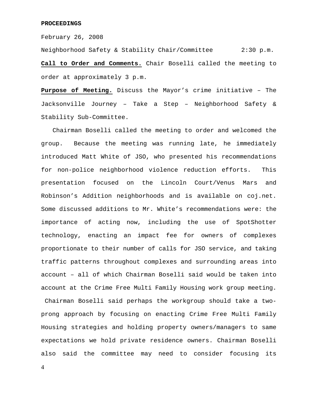#### **PROCEEDINGS**

February 26, 2008

Neighborhood Safety & Stability Chair/Committee 2:30 p.m. **Call to Order and Comments.** Chair Boselli called the meeting to order at approximately 3 p.m.

**Purpose of Meeting.** Discuss the Mayor's crime initiative – The Jacksonville Journey – Take a Step – Neighborhood Safety & Stability Sub-Committee.

 Chairman Boselli called the meeting to order and welcomed the group. Because the meeting was running late, he immediately introduced Matt White of JSO, who presented his recommendations for non-police neighborhood violence reduction efforts. This presentation focused on the Lincoln Court/Venus Mars and Robinson's Addition neighborhoods and is available on coj.net. Some discussed additions to Mr. White's recommendations were: the importance of acting now, including the use of SpotShotter technology, enacting an impact fee for owners of complexes proportionate to their number of calls for JSO service, and taking traffic patterns throughout complexes and surrounding areas into account – all of which Chairman Boselli said would be taken into account at the Crime Free Multi Family Housing work group meeting. Chairman Boselli said perhaps the workgroup should take a twoprong approach by focusing on enacting Crime Free Multi Family Housing strategies and holding property owners/managers to same expectations we hold private residence owners. Chairman Boselli also said the committee may need to consider focusing its

4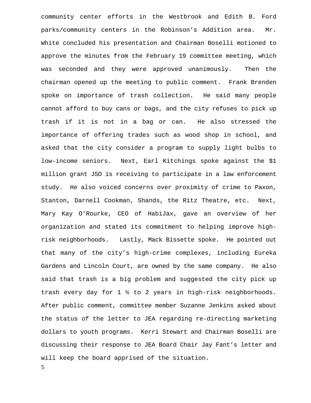5 community center efforts in the Westbrook and Edith B. Ford parks/community centers in the Robinson's Addition area. Mr. White concluded his presentation and Chairman Boselli motioned to approve the minutes from the February 19 committee meeting, which was seconded and they were approved unanimously. Then the chairman opened up the meeting to public comment. Frank Brenden spoke on importance of trash collection. He said many people cannot afford to buy cans or bags, and the city refuses to pick up trash if it is not in a bag or can. He also stressed the importance of offering trades such as wood shop in school, and asked that the city consider a program to supply light bulbs to low-income seniors. Next, Earl Kitchings spoke against the \$1 million grant JSO is receiving to participate in a law enforcement study. He also voiced concerns over proximity of crime to Paxon, Stanton, Darnell Cookman, Shands, the Ritz Theatre, etc. Next, Mary Kay O'Rourke, CEO of HabiJax, gave an overview of her organization and stated its commitment to helping improve highrisk neighborhoods. Lastly, Mack Bissette spoke. He pointed out that many of the city's high-crime complexes, including Eureka Gardens and Lincoln Court, are owned by the same company. He also said that trash is a big problem and suggested the city pick up trash every day for 1 ½ to 2 years in high-risk neighborhoods. After public comment, committee member Suzanne Jenkins asked about the status of the letter to JEA regarding re-directing marketing dollars to youth programs. Kerri Stewart and Chairman Boselli are discussing their response to JEA Board Chair Jay Fant's letter and will keep the board apprised of the situation.